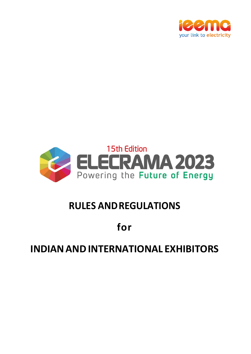



# **RULES ANDREGULATIONS**

# **for**

# **INDIANANDINTERNATIONAL EXHIBITORS**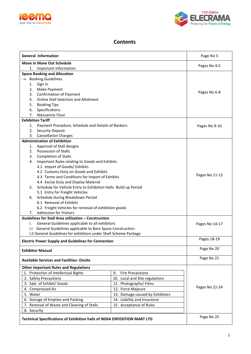



### **Contents**

| <b>General Information</b>                                                | Page No 3      |                |
|---------------------------------------------------------------------------|----------------|----------------|
| <b>Move in Move Out Schedule</b>                                          | Pages No 4-5   |                |
| 1. Important Information                                                  |                |                |
| <b>Space Booking and Allocation</b>                                       |                |                |
| $\rightarrow$ Booking Guidelines                                          |                |                |
| Sign in<br>1.                                                             |                |                |
| Make Payment<br>2.                                                        | Pages No 6-8   |                |
| <b>Confirmation of Payment</b><br>3.                                      |                |                |
| <b>Online Stall Selection and Allotment</b><br>4.                         |                |                |
| 5.<br><b>Booking Tips</b>                                                 |                |                |
| 6.<br>Specifications                                                      |                |                |
| 7. Mezzanine Floor                                                        |                |                |
| <b>Exhibition Tariff</b>                                                  |                |                |
| Payment Procedure, Schedule and Details of Bankers<br>1.                  |                | Pages No 9-10  |
| <b>Security Deposit</b><br>2.                                             |                |                |
| 3. Cancellation Charges<br><b>Administration of Exhibition</b>            |                |                |
|                                                                           |                |                |
| 1. Approval of Stall designs<br>2. Possession of Stalls                   |                |                |
| <b>Completion of Stalls</b><br>3.                                         |                |                |
| Important Rules relating to Goods and Exhibits<br>4.                      |                |                |
| 4.1 Import of Goods/ Exhibits                                             |                |                |
| 4.2 Customs Duty on Goods and Exhibits                                    |                |                |
| 4.3 Terms and Conditions for Import of Exhibits                           |                | Pages No 11-13 |
| 4.4 Excise Duty and Display Material                                      |                |                |
| 5. Schedule for Vehicle Entry to Exhibition Halls- Build up Period        |                |                |
| 5.1 Entry for Freight Vehicles                                            |                |                |
| Schedule during Breakdown Period<br>6.                                    |                |                |
| 6.1 Removal of Exhibits                                                   |                |                |
| 6.2 Freight Vehicles for removal of exhibition goods                      |                |                |
| <b>Admission for Visitors</b><br>7.                                       |                |                |
| <b>Guidelines for Stall Area utilization - Construction</b>               |                |                |
| General Guidelines applicable to all exhibitors<br>I.                     |                | Pages No 14-17 |
| I.I General Guidelines applicable to Bare Space Construction              |                |                |
| I.II General Guidelines for exhibitors under Shell Scheme Package         |                |                |
|                                                                           |                | Pages 18-19    |
| <b>Electric Power Supply and Guidelines for Connection</b>                |                |                |
| <b>Exhibitor Manual</b>                                                   |                | Page No 20     |
| <b>Available Services and Facilities- Onsite</b>                          | Page No 21     |                |
| <b>Other Important Rules and Regulations</b>                              |                |                |
| 1. Protection of Intellectual Rights                                      |                |                |
| 2. Safety Precautions                                                     |                |                |
| 3. Sale of Exhibit/ Goods                                                 |                |                |
| 4. Compressed Air                                                         | Pages No 22-24 |                |
| 5. Water                                                                  |                |                |
| 6. Storage of Empties and Packing                                         |                |                |
| 7. Removal of Waste and Cleaning of Stalls                                |                |                |
| 8. Security                                                               |                |                |
|                                                                           |                |                |
| Technical Specifications of Exhibition halls of INDIA EXPOSITION MART LTD | Page No 25     |                |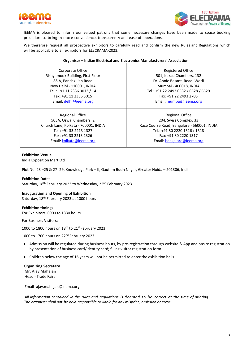



IEEMA is pleased to inform our valued patrons that some necessary changes have been made to space booking procedure to bring in more convenience, transparency and ease of operations.

We therefore request all prospective exhibitors to carefully read and confirm the new Rules and Regulations which will be applicable to all exhibitors for ELECRAMA-2023.

| Organiser - Indian Electrical and Electronics Manufacturers' Association |  |
|--------------------------------------------------------------------------|--|
|--------------------------------------------------------------------------|--|

Corporate Office Rishyamook Building, First Floor 85 A, Panchkuian Road New Delhi - 110001, INDIA Tel.: +91 11 2336 3013 / 14 Fax: +91 11 2336 3015 Email: [delhi@ieema.org](mailto:delhi@ieema.org)

Regional Office 503A, Oswal Chambers, 2 Church Lane, Kolkata - 700001, INDIA Tel.: +91 33 2213 1327 Fax: +91 33 2213 1326 Email: [kolkata@ieema.org](mailto:kolkata@ieema.org)

Registered Office 501, Kakad Chambers, 132 Dr. Annie Besant. Road, Worli Mumbai - 400018, INDIA Tel.: +91 22 2493 0532 / 6528 / 6529 Fax: +91 22 2493 2705 Email: [mumbai@ieema.org](mailto:mumbai@ieema.org)

Regional Office 204, Swiss Complex, 33 Race Course Road, Bangalore - 560001, INDIA Tel.: +91 80 2220 1316 / 1318 Fax: +91 80 2220 1317 Email[: bangalore@ieema.org](mailto:bangalore@ieema.org)

#### **Exhibition Venue**

India Exposition Mart Ltd

Plot No. 23 –25 & 27- 29, Knowledge Park – II, Gautam Budh Nagar, Greater Noida – 201306, India

**Exhibition Dates** Saturday, 18<sup>th</sup> February 2023 to Wednesday, 22<sup>nd</sup> February 2023

### **Inauguration and Opening of Exhibition**

Saturday, 18<sup>th</sup> February 2023 at 1000 hours

**Exhibition timings** For Exhibitors: 0900 to 1830 hours

For Business Visitors:

1000 to 1800 hours on  $18<sup>th</sup>$  to 21st February 2023

1000 to 1700 hours on 22nd February 2023

- Admission will be regulated during business hours, by pre-registration through website & App and onsite registration by presentation of business card/identity card; filling visitor registration form
- Children below the age of 16 years will not be permitted to enter the exhibition halls.

**Organizing Secretary Mr. Ajay Mahajan**

Head - Trade Fairs

Email- ajay.mahajan@ieema.org

*All information contained in the rules and regulations is deemed to be correct at the time of printing. The organiser shall not be held responsible or liable for any misprint, omission or error.*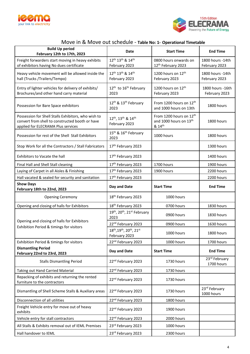



## Move in & Move out schedule - **Table No: 1- Operational Timetable**

| <b>Build Up period</b><br>February 12th to 17th, 2023                                                                                        | Date                                                                  |                                                                         | <b>End Time</b>                    |  |
|----------------------------------------------------------------------------------------------------------------------------------------------|-----------------------------------------------------------------------|-------------------------------------------------------------------------|------------------------------------|--|
| Freight forwarders start moving in heavy exhibits<br>of exhibitors having No dues certificate                                                | 12 <sup>th</sup> 13 <sup>th</sup> & 14 <sup>th</sup><br>February 2023 | 0800 hours onwards on<br>12th February 2023                             | 1800 hours - 14th<br>February 2023 |  |
| Heavy vehicle movement will be allowed inside the<br>hall (Trucks /Trailers/Tempo)                                                           | 12 <sup>th</sup> 13 <sup>th</sup> & 14 <sup>th</sup><br>February 2023 | 1200 hours on 12th<br>February 2023                                     | 1800 hours - 14th<br>February 2023 |  |
| Entry of lighter vehicles for delivery of exhibits/<br>Brochures/and other hand carry material                                               | 12 <sup>th</sup> to 16 <sup>th</sup> February<br>2023                 | 1200 hours on 12th<br>February 2023                                     | 1800 hours - 16th<br>February 2023 |  |
| Possession for Bare Space exhibitors                                                                                                         | 12 <sup>th</sup> & 13 <sup>th</sup> February<br>2023                  | From 1200 hours on 12th<br>and 1000 hours on 13th                       | 1800 hours                         |  |
| Possession for Shell Stalls Exhibitors, who wish to<br>convert from shell to constructed booth or have<br>applied for ELECRAMA Plus services | 12th, 13th & 14th<br>February 2023                                    | From 1200 hours on 12 <sup>th</sup><br>and 1000 hours on 13th<br>& 14th | 1800 hours                         |  |
| Possession for rest of the Shell Stall Exhibitors                                                                                            | 15 <sup>th</sup> & 16 <sup>th</sup> February<br>2023                  | 1000 hours                                                              | 1800 hours                         |  |
| Stop Work for all the Contractors / Stall Fabricators                                                                                        | 17th February 2023                                                    |                                                                         | 1300 hours                         |  |
| Exhibitors to Vacate the hall                                                                                                                | 17th February 2023                                                    |                                                                         | 1400 hours                         |  |
| Final Hall and Shell Stall cleaning                                                                                                          | 17th February 2023                                                    | 1700 hours                                                              | 1900 hours                         |  |
| Laying of Carpet in all Aisles & Finishing                                                                                                   | 17th February 2023                                                    | 1900 hours                                                              | 2200 hours                         |  |
| Hall vacated & sealed for security and sanitation                                                                                            | 17th February 2023                                                    |                                                                         | 2200 hours                         |  |
| <b>Show Days</b><br>February 18th to 22nd, 2023                                                                                              | Day and Date                                                          | <b>Start Time</b>                                                       | <b>End Time</b>                    |  |
| <b>Opening Ceremony</b>                                                                                                                      | 18 <sup>th</sup> February 2023                                        | 1000 hours                                                              |                                    |  |
| Opening and closing of halls for Exhibitors                                                                                                  | 18 <sup>th</sup> February 2023                                        | 0700 hours                                                              | 1830 hours                         |  |
|                                                                                                                                              | 19th, 20th, 21st February<br>2023                                     | 0900 hours                                                              | 1830 hours                         |  |
| Opening and closing of halls for Exhibitors                                                                                                  | 22 <sup>nd</sup> February 2023                                        | 0900 hours                                                              | 1630 hours                         |  |
| Exhibition Period & timings for visitors                                                                                                     | 18th, 19th, 20th, 21st<br>February 2023                               | 1000 hours                                                              | 1800 hours                         |  |
| Exhibition Period & timings for visitors                                                                                                     | 22nd February 2023                                                    | 1000 hours                                                              | 1700 hours                         |  |
| <b>Dismantling Period</b><br>February 22nd to 23rd, 2023                                                                                     | Day and Date                                                          | <b>Start Time</b>                                                       | <b>End Time</b>                    |  |
| <b>Stalls Dismantling Period</b>                                                                                                             | 22 <sup>nd</sup> February 2023                                        | 1730 hours                                                              | 23rd February<br>1700 hours        |  |
| Taking out Hand Carried Material                                                                                                             | 22 <sup>nd</sup> February 2023                                        | 1730 hours                                                              |                                    |  |
| Repacking of exhibits and returning the rented<br>furniture to the contractors                                                               | 22 <sup>nd</sup> February 2023                                        | 1730 hours                                                              |                                    |  |
| Dismantling of Shell Scheme Stalls & Auxiliary areas                                                                                         | 22 <sup>nd</sup> February 2023                                        | 1730 hours                                                              | 23rd February<br>1000 hours        |  |
| Disconnection of all utilities                                                                                                               | 22 <sup>nd</sup> February 2023                                        | 1800 hours                                                              |                                    |  |
| Freight Vehicle entry for move out of heavy<br>exhibits                                                                                      | 22 <sup>nd</sup> February 2023                                        | 1900 hours                                                              |                                    |  |
| Vehicle entry for stall contractors                                                                                                          | 22nd February 2023                                                    | 2000 hours                                                              |                                    |  |
| All Stalls & Exhibits removal out of IEML Premises                                                                                           | 23rd February 2023                                                    | 1000 hours                                                              |                                    |  |
| Hall handover to IEML                                                                                                                        | 23rd February 2023                                                    | 2300 hours                                                              |                                    |  |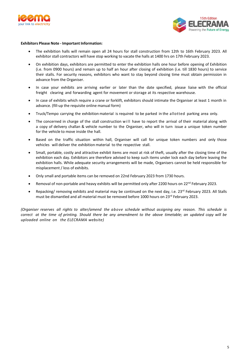



#### **Exhibitors Please Note - Important Information:**

- The exhibition halls will remain open all 24 hours for stall construction from 12th to 16th February 2023. All exhibitor stall contractors will have stop working to vacate the halls at 1400 hrs on 17th February 2023.
- On exhibition days, exhibitors are permitted to enter the exhibition halls one hour before opening of Exhibition (i.e. from 0900 hours) and remain up to half an hour after closing of exhibition (i.e. till 1830 hours) to service their stalls. For security reasons, exhibitors who want to stay beyond closing time must obtain permission in advance from the Organiser.
- In case your exhibits are arriving earlier or later than the date specified, please liaise with the official freight clearing and forwarding agent for movement or storage at its respective warehouse.
- In case of exhibits which require a crane or forklift, exhibitors should intimate the Organiser at least 1 month in advance. (fill-up the requisite online manual form)
- Truck/Tempo carrying the exhibition material is required to be parked in the allotted parking area only.
- The concerned in charge of the stall construction will have to report the arrival of their material along with a copy of delivery challan & vehicle number to the Organiser, who will in turn issue a unique token number for the vehicle to move inside the hall.
- Based on the traffic situation within hall, Organiser will call for unique token numbers and only those vehicles will deliver the exhibition material to the respective stall.
- Small, portable, costly and attractive exhibit items are most at risk of theft, usually after the closing time of the exhibition each day. Exhibitors are therefore advised to keep such items under lock each day before leaving the exhibition halls. While adequate security arrangements will be made, Organisers cannot be held responsible for misplacement / loss of exhibits.
- Only small and portable items can be removed on 22nd February 2023 from 1730 hours.
- Removal of non-portable and heavy exhibits will be permitted only after 2200 hours on 22<sup>nd</sup> February 2023.
- Repacking/ removing exhibits and material may be continued on the next day, i.e. 23<sup>rd</sup> February 2023. All Stalls must be dismantled and all material must be removed before 1000 hours on 23<sup>rd</sup> February 2023.

*(Organiser reserves all rights to alter/amend the above schedule without assigning any reason. This schedule is* correct at the time of printing. Should there be any amendment to the above timetable: an updated copy will be *uploaded online on the ELECRAMA website)*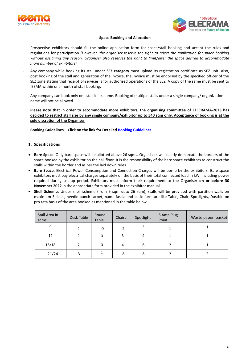



#### **Space Booking and Allocation**

- Prospective exhibitors should fill the online application form for space/stall booking and accept the rules and regulations for participation *(However, the organiser reserve the right to reject the application for space booking without assigning any reason. Organiser also reserves the right to limit/alter the space desired to accommodate more number of exhibitors)*
- Any company while booking its stall under **SEZ category** must upload its registration certificate as SEZ unit. Also, post booking of the stall and generation of the invoice, the invoice must be endorsed by the specified officer of the SEZ zone stating that receipt of services is for authorised operations of the SEZ. A copy of the same must be sent to IEEMA within one month of stall booking.
- Any company can book only one stall in its name. Booking of multiple stalls under a single company/ organization name will not be allowed.

**Please note that in order to accommodate more exhibitors, the organising committee of ELECRAMA-2023 has decided to restrict stall size by any single company/exhibitor up to 540 sqm only. Acceptance of booking is at the sole discretion of the Organiser**

**Booking Guidelines – Click on the link for Detailed [Booking Guidelines](https://booking.elecrama.com/pdf/Stall_Booking_Process.pdf)**

#### **1. Specifications**

- **Bare Space**: Only bare space will be allotted above 26 sqms. Organisers will clearly demarcate the borders of the space booked by the exhibitor on the hall floor. It is the responsibility of the bare space exhibitors to construct the stalls within the border and as per the laid down rules.
- **Bare Space**: Electrical Power Consumption and Connection Charges will be borne by the exhibitors. Bare space exhibitors must pay electrical charges separately on the basis of their total connected load in kW, including power required during set up period. Exhibitors must inform their requirement to the Organiser **on or before 30 November 2022** in the appropriate form provided in the exhibitor manual.
- **Shell Scheme**: Under shell scheme (from 9 sqm upto 26 sqm), stalls will be provided with partition walls on maximum 3 sides, needle punch carpet, name fascia and basic furniture like Table, Chair, Spotlights, Dustbin on pro rata basis of the area booked as mentioned in the table below.

| Stall Area in<br>sqms | Desk Table | Round<br>Table | Chairs | Spotlight | 5 Amp Plug<br>Point | Waste paper basket |
|-----------------------|------------|----------------|--------|-----------|---------------------|--------------------|
| 9                     |            |                |        |           |                     |                    |
| 12                    |            |                |        | 4         |                     |                    |
| 15/18                 |            |                |        | b         |                     |                    |
| 21/24                 |            |                | 8      | 8         |                     |                    |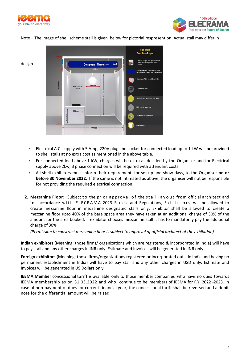



Note – The image of shell scheme stall is given below for pictorial respresention. Actual stall may differ in



- Electrical A.C. supply with 5 Amp, 220V plug and socket for connected load up to 1 kW will be provided to shell stalls at no extra cost as mentioned in the above table.
- For connected load above 1 kW, charges will be extra as decided by the Organiser and for Electrical supply above 2kw, 3 phase connection will be required with attendant costs.
- All shell exhibitors must inform their requirement, for set up and show days, to the Organiser **on or before 30 November 2022**. If the same is not intimated as above, the organiser will not be responsible for not providing the required electrical connection.
- **2. Mezzanine Floor**: Subject to the prior approval of the stall layout from official architect and in accordance with ELECRAMA-2023 Rules and Regulations, Exhibitors will be allowed to create mezzanine floor in mezzanine designated stalls only. Exhibitor shall be allowed to create a mezzanine floor upto 40% of the bare space area they have taken at an additional charge of 30% of the amount for the area booked. If exhibitor chooses mezzanine stall it has to mandatorily pay the additional charge of 30%

*(Permission to construct mezzanine floor is subject to approval of official architect of the exhibition)*

**Indian exhibitors** (Meaning: those firms/ organizations which are registered & incorporated in India) will have to pay stall and any other charges in INR only. Estimate and Invoices will be generated in INR only.

**Foreign exhibitors** (Meaning: those firms/organizations registered or incorporated outside India and having no permanent establishment in India) will have to pay stall and any other charges in USD only. Estimate and Invoices will be generated in US Dollars only.

**IEEMA Member** concessional tariff is available only to those member companies who have no dues towards IEEMA membership as on 31.03.2022 and who continue to be members of IEEMA for F.Y. 2022 -2023. In case of non-payment of dues for current financial year, the concessional tariff shall be reversed and a debit note for the differential amount will be raised.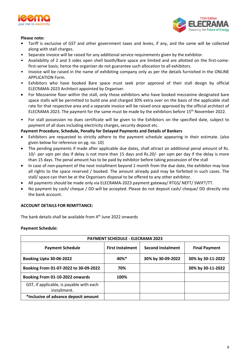



#### **Please note:**

- **•** Tariff is exclusive of GST and other government taxes and levies, if any, and the same will be collected along with stall charges.
- Separate invoice will be raised for any additional service requirements given by the exhibitor.
- Availability of 2 and 3 sides open shell booth/Bare space are limited and are allotted on the first-comefirst-serve basis; hence the organiser do not guarantee such allocation to all exhibitors.
- Invoice will be raised in the name of exhibiting company only as per the details furnished in the ONLINE APPLICATION Form.
- Exhibitors who have booked Bare space must seek prior approval of their stall design by official ELECRAMA-2023 Architect appointed by Organiser.
- For Mezzanine floor within the stall, only those exhibitors who have booked mezzanine designated bare space stalls will be permitted to build one and charged 30% extra over on the basis of the applicable stall rate for that respective area and a separate invoice will be raised once approved by the official architect of ELECRAMA 2023. The payment for the same must be made by the exhibitors before 15<sup>th</sup> November 2022.
- For stall possession no dues certificate will be given to the Exhibitors on the specified date, subject to payment of all dues including electricity charges, security deposit etc.

#### **Payment Procedure, Schedule, Penalty for Delayed Payments and Details of Bankers**

- Exhibitors are requested to strictly adhere to the payment schedule appearing in their estimate. (also given below for reference on pg. no. 10)
- The pending payments if made after applicable due dates, shall attract an additional penal amount of Rs. 10/- per sqm per day if delay is not more than 15 days and Rs.20/- per sqm per day if the delay is more than 15 days. The penal amount has to be paid by exhibitor before taking possession of the stall
- In case of non-payment of the next installment beyond 1 month from the due date, the exhibitor may lose all rights to the space reserved / booked. The amount already paid may be forfeited in such cases. The stall/ space can then be at the Organisers disposal to be offered to any other exhibitor.
- All payments should be made only via ELECRAMA-2023 payment gateway/ RTGS/ NEFT/ SWIFT/TT.
- No payment by cash/ cheque / DD will be accepted. Please do not deposit cash/ cheque/ DD directly into the bank account.

#### **ACCOUNT DETAILS FOR REMITTANCE:**

The bank details shall be available from  $4<sup>th</sup>$  June 2022 onwards

#### **Payment Schedule:**

| <b>PAYMENT SCHEDULE - ELECRAMA 2023</b>                  |                         |                          |                      |  |
|----------------------------------------------------------|-------------------------|--------------------------|----------------------|--|
| <b>Payment Schedule</b>                                  | <b>First Instalment</b> | <b>Second Instalment</b> | <b>Final Payment</b> |  |
| <b>Booking Upto 30-06-2022</b>                           | $40\%$ <sup>*</sup>     | 30% by 30-09-2022        | 30% by 30-11-2022    |  |
| Booking From 01-07-2022 to 30-09-2022                    | 70%                     |                          | 30% by 30-11-2022    |  |
| Booking From 01-10-2022 onwards                          | 100%                    |                          |                      |  |
| GST, if applicable, is payable with each<br>installment. |                         |                          |                      |  |
| *Inclusive of advance deposit amount                     |                         |                          |                      |  |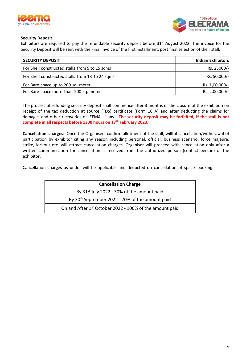



#### **Security Deposit**

Exhibitors are required to pay the refundable security deposit before 31<sup>st</sup> August 2022. The invoice for the Security Deposit will be sent with the Final Invoice of the first installment, post final selection of their stall.

| <b>SECURITY DEPOSIT</b>                         | <b>Indian Exhibitors</b> |
|-------------------------------------------------|--------------------------|
| For Shell constructed stalls from 9 to 15 sqms  | Rs. 25000/-              |
| For Shell constructed stalls from 18 to 24 sqms | Rs. 50,000/-             |
| For Bare space up to 200 sq. meter              | Rs. 1,00,000/-           |
| For Bare space more than 200 sq. meter          | Rs. 2,00,000/-           |

The process of refunding security deposit shall commence after 3 months of the closure of the exhibition on receipt of the tax deduction at source (TDS) certificate (Form 16 A) and after deducting the claims for damages and other recoveries of IEEMA, if any. **The security deposit may be forfeited, if the stall is not complete in all respects before 1300 hours on 17th February 2023.** 

**Cancellation charges:** Once the Organisers confirm allotment of the stall, willful cancellation/withdrawal of participation by exhibitor citing any reason including personal, official, business scenario, force majeure, strike, lockout etc. will attract cancellation charges. Organiser will proceed with cancellation only after a written communication for cancellation is received from the authorized person (contact person) of the exhibitor.

Cancellation charges as under will be applicable and deducted on cancellation of space booking.

| <b>Cancellation Charge</b>                                          |
|---------------------------------------------------------------------|
| By $31^{st}$ July 2022 - 30% of the amount paid                     |
| By 30 <sup>th</sup> September 2022 - 70% of the amount paid         |
| On and After 1 <sup>st</sup> October 2022 - 100% of the amount paid |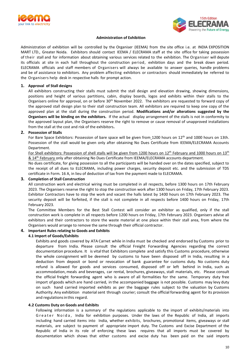



#### **Administration of Exhibition**

Administration of exhibition will be controlled by the Organiser (IEEMA) from the site office i.e. at INDIA EXPOSITION MART LTD., Greater Noida. Exhibitors should contact IEEMA / ELECRAMA staff at the site office for taking possession of their stall and for information about obtaining various services related to the exhibition. The Organiser will depute its officials at site in each hall throughout the construction period, exhibition days and the break down period. ELECRAMA officials and staff members of Organisers will always be available to answer queries, handle problems and be of assistance to exhibitors. Any problem affecting exhibitors or contractors should immediately be referred to the Organisers help desk in respective halls for prompt action.

#### **1. Approval of Stall designs**

All exhibitors constructing their stalls must submit the stall design and elevation drawing, showing dimensions, positions and height of various partitions, cabin, display boards, logos and exhibits within their stalls to the Organisers online for approval, on or before  $30<sup>th</sup>$  November 2022. The exhibitors are requested to forward copy of the approved stall design plan to their stall construction team. All exhibitors are required to keep one copy of the approved plan at the stall during the construction period. **Modifications and/or alterations suggested by the Organisers will be binding on the exhibitors.** If the actual display arrangement of the stalls is not in conformity to the approved layout plan, the Organisers reserve the right to remove or cause removal of unapproved installations from the stall at the cost and risk of the exhibitors**.**

#### **2. Possession of Stalls**

For Bare Space Exhibitors: Possession of bare space will be given from 1200 hours on 12<sup>th</sup> and 1000 hours on 13th. Possession of the stall would be given only after obtaining No Dues Certificate from IEEMA/ELECRAMA Accounts Department.

For Shell exhibitors: Possession of shell stalls will be given from 1200 hours on 12<sup>th</sup> February and 1000 hours on 13<sup>th</sup> & 14th February only after obtaining No Dues Certificate from IEEMA/ELECRAMA accounts department.

No dues certificate, for giving possession to all the participants will be handed over on the dates specified, subject to the receipt of all dues to ELECRAMA, including power charges, security deposit etc. and the submission of TDS certificate in Form. 16 A, in lieu of deduction of tax from the payment made to ELECRAMA.

#### **3. Completion of Stall Construction**

All construction work and electrical wiring must be completed in all respects, before 1300 hours on 17th February 2023. The Organisers reserve the right to stop the construction work after 1300 hours on Friday, 17th February 2023. Exhibitor Contractors have to stop the work and vacant the halls latest by 1400 hours on 17th February 2023. The security deposit will be forfeited, if the stall is not complete in all respects before 1400 hours on Friday, 17th February 2023.

The Committee Members for the Best Stall Contest will consider an exhibitor as qualified, only if the stall construction work is complete in all respects before 1200 hours on Friday, 17th February 2023. Organisers advise all exhibitors and their contractors to store the waste material at one place within their stall area, from where the Organisers would arrange to remove the same through their official contractor.

#### **4. Important Rules relating to Goods and Exhibits**

#### **4.1 Import of Goods/Exhibits**

Exhibits and goods covered by ATA Carnet while in India must be checked and endorsed by Customs prior to departure from India. Please consult the official Freight Forwarding Agencies regarding the correct documentation procedure. It is vital that Exhibitors complete and satisfy this Customs procedure, otherwise the whole consignment will be deemed by customs to have been disposed off in India, resulting in a deduction from deposit or bond or revocation of bank guarantee for customs duty. No customs duty refund is allowed for goods and services consumed, disposed off or left behind in India, such as accommodation, meals and beverages, car rental, brochures, giveaways, stall materials, etc. Please consult the official freight forwarding agent who is aware of all formalities for the same. Temporary duty free import of goods which are hand carried, in the accompanied baggage is not possible. Customs may levy duty on such hand carried imported exhibits as per the baggage rules subject to the valuation by Customs Authority.Any exhibition materialsent through courier; consult the official forwarding agent for its provision and regulationsinthis regard.

#### **4.2 Customs Duty on Goods and Exhibits**

Following information is a summary of the regulations applicable to the import of exhibits/materials into Greater Noida, India for exhibition purposes. Under the laws of the Republic of India, all imports including hand carried items into India, whether exhibits, brochures, promotional items, giveaways or stall materials, are subject to payment of appropriate import duty. The Customs and Excise Department of the Republic of India in its role of enforcing these laws requires that all imports must be covered by documentation which shows that either customs and excise duty has been paid on the said imports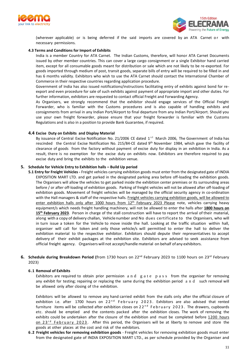



(wherever applicable) or is being deferred if the said imports are covered by an ATA Carnet or with necessary permissions.

#### **4.3 Terms and Conditions for Import of Exhibits**

India is a member Country for ATA Carnet. The Indian Customs, therefore, will honor ATA Carnet Documents issued by other member countries. This can cover a large cargo consignment or a single Exhibitor hand carried item, except for all consumable goods meant for distribution or sale which are not likely to be re-exported. For goods imported through medium of post, transit goods, separate bills of entry will be required to be filled in and has 6 months validity. Exhibitors who wish to use the ATA Carnet should contact the International Chamber of Commerce in their respective countries regarding application procedure.

Government of India has also issued notifications/instructions facilitating entry of exhibits against bond for reexport and even procedure for sale of such exhibits against payment of appropriate import and other duties. For further information, exhibitors are requested to contact official Freight and Forwarding Agency.

As Organisers, we strongly recommend that the exhibitor should engage services of the Official Freight Forwarder, who is familiar with the Customs procedures and is also capable of handling exhibits and consignments from arrival in any Indian Port/Airport to final departure from any Indian Port/Airport. Should you use your own freight forwarder, please ensure that your freight forwarder is familiar with the Customs Regulations and is also in a position to provide Bank Guarantee, if required.

#### **4.4 Excise Duty on Exhibits and Display Material**

By issuance of Central Excise Notification No. 21/2006 CE dated 1<sup>st</sup> March 2006, The Government of India has rescinded the Central Excise Notification No. 215/84-CE dated 9<sup>th</sup> November 1984, which gave the facility of clearance of goods from the factory without payment of excise duty for display in an exhibition in India. As a result, there is no exemption for the excise duty on exhibits now. Exhibitors are therefore required to pay excise duty and bring the exhibits to the exhibition venue.

#### **5. Schedule for Vehicle Entry to Exhibition halls – Build Up period**

**5.1 Entry for Freight Vehicles -** Freight vehicles carrying exhibition goods must enter from the designated gate of INDIA EXPOSITION MART LTD. and get parked in the designated parking area before off-loading the exhibition goods. The Organisers will allow the vehicles to get parked inside the exhibition center premises or its surrounding areas before / or after off-loading of exhibition goods. Parking of freight vehicles will not be allowed after off-loading of exhibition goods. Movement of freight vehicles will be managed by the official security agency in co-ordination with the Hall managers & staff of the respective halls. Freight vehicles carrying exhibition goods, will be allowed to enter exhibition halls only after 1000 hours from 12<sup>th</sup> February 2023 Please note, vehicles carrying heavy equipment/s which needs freight handling machinery, will not be allowed to enter the halls after **1800 hours on 15th February 2023**. Person in charge of the stall construction will have to report the arrival of their material, along with a copy of delivery challan, Vehiclenumber and No dues certificate to the Organisers, who will in turn issue a token for the Vehicle to move inside the hall. Looking at the traffic situation within hall, organiser will call for token and only those vehicle/s will permitted to enter the hall to deliver the exhibition material to the respective exhibitor. Exhibitors should depute their representatives to accept delivery of their exhibit packages at the exhibition site. Exhibitors are advised to seek assistance from official freight agency. Organisers will not accept/handle material on behalf of any exhibitors.

#### **6. Schedule during Breakdown Period (**from 1730 hours on 22nd February 2023 to 1100 hours on 23rd February 2023)

#### **6.1 Removal of Exhibits**

Exhibitors are required to obtain prior permission  $a \, n \, d \, g \, a \, t \, e \, p \, a \, s \, s \, f$  from the organiser for removing any exhibit for testing; repairing or replacing the same during the exhibition period and such removal will be allowed only after closing of the exhibition.

Exhibitors will be allowed to remove any hand carried exhibit from the stalls only after the official closure of exhibition i.e. after 1700 hours on  $22^{nd}$  February 2023. Exhibitors are also advised that rented furniture items will be collected after exhibition closes on  $22^{nd}$  February 2023. The drawers, cupboards etc. should be emptied and the contents packed after the exhibition closes. The work of removing the exhibits could be undertaken after the closure of the exhibition and must be completed before 1200 hours on  $23<sup>rd</sup>$  February 2023. After this period, the Organisers will be at liberty to remove and store the goods at other places at the cost and risk of the exhibitors.

**6.2 Freight vehicles for removing exhibition goods** - Freight vehicles for removing exhibition goods must enter from the designated gate of INDIA EXPOSITION MART LTD., as per schedule provided by the Organiser and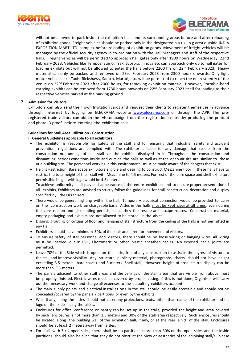



will not be allowed to park inside the exhibition halls and its surrounding areas before and after reloading of exhibition goods. Freight vehicles should be parked only in the designated p a r k i n g area outside INDIA EXPOSITION MART LTD. complex before reloading of exhibition goods. Movement of freight vehicles will be managed by the official security agency in co-ordination with the Hall Managers and staff of the respective halls. Freight vehicles will be permitted to approach hall gates only after 1900 hours on Wednesday, 22nd February 2023. Vehicles like Tempos, Sumo, Trax, Scorpio, Innova etc can approach only up to hall gates for loading exhibits but will not be allowed to enter the halls before 2200 hrs on 22<sup>nd</sup> February 2023. Heavy material can only be packed and removed on 23rd February 2023 from 2300 hours onwards. Only light motor vehicles like Taxis, Rickshaws, Santro, Maruti, etc. will be permitted to reach the nearest entry of the venue on 22nd February 2023 after 2000 hours, for removing exhibition material. However, Portable hand carrying exhibits can be removed from 1730 hours onwards on 22<sup>nd</sup> February 2023 itself for loading to their respective vehicles parked at the parking ground.

#### **7. Admission for Visitors**

Exhibitors can also send their own Invitation cards and request their clients to register themselves in advance through internet by logging on ELECRAMA website [www.elecrama.com](http://www.elecrama.com/) or through the APP. The preregistered trade visitors can obtain the visitor badge from the registration center by producing the printout and photo ID proof, before entering the exhibition halls.

#### **Guidelines for Stall Area utilization - Construction**

#### **I. General Guidelines applicable to all exhibitors**

- The exhibitor is responsible for safety at the stall and for ensuring that industrial safety and accident prevention regulations are complied with. The exhibitor is liable for any damage that results from the construction or running of its stall or the exhibits displayed in it. Throughout the construction and dismantling periods conditions inside and outside the halls as well as at the open-air site are similar to those at a building site. The personnel working in this environment must be made aware of the dangers that exist.
- Height Restriction: Bare space exhibitors eligible and desiring to construct Mezzanine floor in these halls have to restrict the total height of their stall with Mezzanine to 4.5 meters. For rest of the bare space and shell exhibitors permissible height with logo would be 4.5 meters.

To achieve uniformity in display and appearance of the entire exhibition and to ensure proper presentation of all exhibits, Exhibitors are advised to strictly follow the guidelines for stall construction, decoration and display specified by the Organisers.

- There would be general lighting within the hall. Temporary electrical connection would be provided to carry on the construction work on chargeable basis. Aisles in the halls must be kept clear at all times, even during the construction and dismantling periods, since they the rescue and escape routes. Construction material, empty packaging and exhibits are not allowed to be stored in the aisles.
- Digging, grouting or cutting of floor and hanging of stall structure from the ceiling of the halls is not permitted in any Hall.
- Exhibitors should leave minimum 30% of the stall area free for movement of visitors.
- To ensure safety of stall personnel and visitors, there should be no loose wiring or hanging wires. All wiring must be carried out in PVC, Elastomeric or other plastic sheathed cables. No exposed cable joints are permitted.
- Leave 70% of the Side which is open on the aisle, free of any construction to assist in the ingress of visitors to the stall and improve visibility. Any structure, publicity material, photographs, charts, should not have height exceeding 3.5 meters (bare space) and 3 meters (Shell stall). However, height of products on display can be more than 3.5 meters.
- The panels adjacent to other stall areas and the ceilings of the stall areas that are visible from above must be properly finished. Electric wires must be covered by proper casing. If this is not done, Organiser will carry out the necessary work and charge all expenses to the defaulting exhibitors account.
- The main supply points and electrical installations in the stall should be easily accessible and should not be concealed /covered by the panels / partitions or even by the exhibits.
- Wall, if any, along the aisles should not carry any projections, texts, other than name of the exhibitor and his logo on the side facing the aisles.
- Enclosures for office, conference or pantry can be set up in the stalls, provided the height and area covered by such enclosures is not more than 3.5 meters and 30% of the stall area respectively. Such enclosures should be located along the building wall of the exhibition hall, if any, or at the rear e n d of the stall. Enclosures should be at least 2 meters away from aisles.
- For stalls with 3 / 4 open sides, there shall be no partitions more than 30% on the open sides and the inside partitions should also be such that they do not obstruct the view or aesthetics of the adjoining stall/s. In case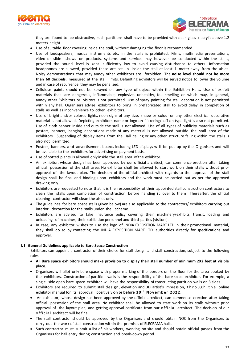



they are found to be obstructive, such partitions shall have to be provided with clear glass / acrylic above 1.2 meters height.

- Use ofsuitable floor covering inside the stall, without damaging the floor is recommended.
- Use of loudspeakers, musical instruments etc. in the stalls is prohibited. Films, multimedia presentations, video or slide shows on products, systems and services may however be conducted within the stalls, provided the sound level is kept sufficiently low to avoid causing disturbance to others. Information headphones are allowed, provided these are set up inside the stall at least 1 meter away from the aisles. Noisy demonstrations that may annoy other exhibitors are forbidden. The **noise level should not be more than 60 decibels**, measured at the stall limits. Defaulting exhibitors will be served notice to lower the volume and in case of recurrence, they may be penalized.
- Cellulose paints should not be sprayed on any type of object within the Exhibition Halls. Use of exhibit materials that are dangerous, inflammable, explosive, unhealthy, foul-smelling or which may, in general, annoy other Exhibitors or visitors is not permitted. Use of spray painting for stall decoration is not permitted within any hall. Organisers advise exhibitors to bring in prefabricated stall to avoid delay in completion of stalls as well as inconvenience to other exhibitors.
- Use of bright and/or colored lights, neon signs of any size, shape or colour or any other electrical decorative material is not allowed. Depicting exhibitors name or logo on flickering/ off-on type light is also not permitted. Use of cloth banner inside and outside the stall is not allowed. Use of all types of publicity materials such as posters, banners, hanging decorations made of any material is not allowed outside the stall area of the exhibitors. Suspending of display items from the Hall ceiling or any other structure falling within the stalls is also not permitted.
- Posters, banners, and advertisement boards including LED displays will be put up by the Organisers and will be available to the exhibitors for advertising on payment basis.
- Use of potted plants is allowed only inside the stall area ofthe exhibitor.
- An exhibitor, whose design has been approved by our official architect, can commence erection after taking official possession of the stall area. No exhibitor shall be allowed to start work on their stalls without prior approval of the layout plan. The decision of the official architect with regards to the approval of the stall design shall be final and binding upon exhibitors and the work must be carried out as per the approved drawing only.
- Exhibitors are requested to note that it is the responsibility of their appointed stall construction contractors to clean the stalls upon completion of construction, before handing it over to them. Thereafter, the official cleaning contractor will clean the aisles only.
- The guidelines for bare space stalls (given below) are also applicable to the contractors/ exhibitors carrying out interior decoration for the stalls under shell scheme.
- Exhibitors are advised to take insurance policy covering their machinery/exhibits, transit, loading and unloading of machines, their exhibition personnel and third parties (visitors).
- In case, any exhibitor wishes to use the logo of INDIA EXPOSITION MART LTD in their promotional material, they shall do so by contacting the INDIA EXPOSITION MART LTD. authorities directly for specifications and approval.

#### **I. I General Guidelines applicable to Bare Space Construction**

Exhibitors can appoint a contractor of their choice for stall design and stall construction, subject to the following rules.

- **All Bare space exhibitors should make provision to display their stall number of minimum 2X2 feet at visible place.**
- Organisers will allot only bare space with proper marking of the borders on the floor for the area booked by the exhibitors. Construction of partition walls is the responsibility of the bare space exhibitor. For example, a single side open bare space exhibitor will have the responsibility of constructing partition walls on 3 sides.
- Exhibitors are required to submit stall design, elevation and 3D artist's impression, through the online exhibitor manual for its approval positively **on or before 30 t h No v em b er 2 02 2.**
- An exhibitor, whose design has been approved by the official architect, can commence erection after taking official possession of the stall area. No exhibitor shall be allowed to start work on its stalls without prior approval of the layout plan, and getting approval certificate from our official architect. The decision of our official architect will be final.
- The stall contractor should be approved by the Organisers and should obtain NOC from the Organisers to carry out the work of stall construction within the premises of ELECRAMA halls.
- Such contractor must submit a list of his workers, working on site and should obtain official passes from the Organisers for hall entry during construction and break-down period.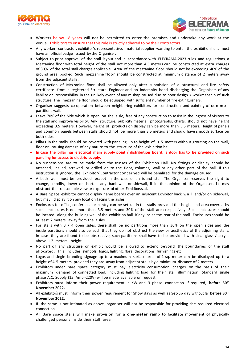



- Workers **below 18 years** will not be permitted to enter the premises and undertake any work at the venue. Exhibitors to ensure that this rule is strictly adhered to by their contractors.
- Any worker, contractor, exhibitor's representative, material supplier wanting to enter the exhibition halls must have an official badge issued by the Organiser.
- Subject to prior approval of the stall layout and in accordance with ELECRAMA-2023 rules and regulations, a Mezzanine floor with total height of the stall not more than 4.5 meters can be constructed at extra charges of 30% of the total stall charges applicable. Area of the mezzanine floor should not be exceeding 40% of the ground area booked. Such mezzanine floor should be constructed at minimum distance of 2 meters away from the adjacent stalls.
- Construction of Mezzanine floor shall be allowed only after submission of a structural and fire safety certificate from a registered Structural Engineer and an indemnity bond discharging the Organisers of any liability or responsibility in the unlikely event of any mishap caused due to poor design / workmanship of such structure. The mezzanine floor should be equipped with sufficient number of fire extinguishers.
- Organiser suggests co-operation between neighboring exhibitors for construction and painting of common partitions wall.
- Leave 70% of the Side which is open on the aisle, free of any construction to assist in the ingress of visitors to the stall and improve visibility. Any structure, publicity material, photographs, charts, should not have height exceeding 3.5 meters. However, height of products on display can be more than 3.5 meters. Height of panels and common panels between stalls should not be more than 3.5 meters and should have smooth surface on both sides.
- Pillars in the stalls should be covered with paneling up to height of 3.5 meters without grouting on the wall, floor or causing damage of any nature to the structure of the exhibition hall.
- In case the pillar has electrical main supply point / distribution board, a door has to be provided on such **paneling for access to electric supply.**
- No suspensions are to be made from the trusses of the Exhibition Hall. No fittings or display should be attached, nailed, screwed or drilled on to the floor, columns, wall or any other part of the hall. If this instruction is ignored, the Exhibitor/ Contractor concerned will be penalized for the damage caused.
- A back wall must be provided, except in the case of an island stall. The Organiser reserves the right to change, modify, lower or shorten any back wall or sidewall, if in the opinion of the Organiser, it may obstruct the reasonable view or exposure of other Exhibitors stall.
- A Bare Space exhibitor cannot display name boards over an adjacent Exhibitor back w a l l and/or on side-wall, but may display it on any location facing the aisles.
- Enclosures for office, conference or pantry can be set up in the stalls provided the height and area covered by such enclosures is not more than 3.5 meters and 30% of the stall area respectively. Such enclosures should be located along the building wall of the exhibition hall, if any, or at the rear of the stall. Enclosures should be at least 2 meters away from the aisles.
- For stalls with 3 / 4 open sides, there shall be no partitions more than 30% on the open sides and the inside partitions should also be such that they do not obstruct the view or aesthetics of the adjoining stalls. In case they are found to be obstructive, such partitions shall have to be provided with clear glass / acrylic above 1.2 meters height.
- No part of any structure or exhibit would be allowed to extend beyond the boundaries of the stall allocated. This includes, symbols, logos, lighting, floral decorations, furnishings etc.
- Logos and single branding signage up to a maximum surface area of 1 sq. meter can be displayed up to a height of 4.5 meters, provided they are away from adjacent stalls by a minimum distance of 2 meters.
- Exhibitors under bare space category must pay electricity consumption charges on the basis of their maximum demand of connected load, including lighting load for their stall illumination. Standard single phase A.C. Supply (15 Amp -220V) will be made available on request.
- Exhibitors must inform their power requirement in KW and 3 phase connection if required, **before 30th November 2022.**
- All exhibitors must inform their power requirement for Show days as well as Set-up day without fail **before 30<sup>th</sup> November 2022.**
- If the same is not intimated as above, organiser will not be responsible for providing the required electrical connection.
- All Bare space stalls will make provision for a **one-meter ramp** to facilitate movement of physically challenged persons inside their stall area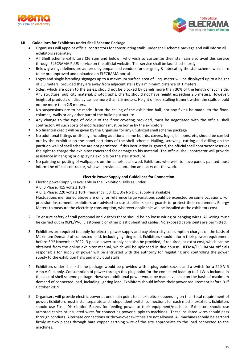



#### **I.II Guidelines for Exhibitors under Shell Scheme Package**

- Organisers will appoint official contractors for constructing stalls under shell scheme package and will inform all exhibitors separately.
- All Shell scheme exhibitors (26 sqm and below), who wish to customize their stall can also avail this service through ELECRAMA PLUS service on the official website. This service shall be launched shortly
- Below given guidelines are adhered by empaneled vendors for designing & fabricating the stall scheme which are to be pre-approved and uploaded on ELECRAMA portal.
- Logos and single branding signages up to a maximum surface area of 1 sq. meter will be displayed up to a height of 3.5 meters, provided they are away from adjacent stalls by a minimum distance of 1 meters.
- Sides, which are open to the aisles, should not be blocked by panels more than 30% of the length of such side. Any structure, publicity material, photographs, charts, should not have height exceeding 2.5 meters. However, height of products on display can be more than 2.5 meters. Height of free-stalling fitment within the stalls should not be more than 2.5 meters.
- No suspensions are to be made from the ceiling of the exhibition hall, nor any fixing be made to the floor, columns, walls or any other part of the building structure.
- Any change to the type of colour of the floor covering provided, must be negotiated with the official shell contractor. All such costs of modifications must be borne by the exhibitors.
- No financial credit will be given by the Organiser for any unutilized shell scheme package
- No additional fittings or display, including additional name boards, covers, logos, balloons, etc, should be carried out by the exhibitor on the panel partitions of the shell scheme. Nailing, screwing, cutting and drilling on the partition wall of shell scheme are not permitted. If this instruction is ignored, the official shell contractor reserves the right to charge the exhibitor concerned for damage to his material. The official shell contractor will provide assistance in hanging or displaying exhibits on the stall structure.
- No painting or putting of wallpapers on the panels is allowed. Exhibitors who wish to have panels painted must inform the official contractor, who will provide a quotation and carry out the work.

#### **Electric Power Supply and Guidelines for Connection**

1. Electric power supply is available in the Exhibition Halls as under: A.C. 3 Phase: 415 volts ± 10%

A.C. 1 Phase: 220 volts ± 10% Frequency: 50 Hz ± 3% No D.C. supply is available.

Fluctuations mentioned above are only for reference large variations could be expected on some occasions. For precision instruments exhibitors are advised to use stabilizers spike guards to protect their equipment. Energy Meters to measure the electricity consumption, wherever applicable will be installed at the exhibitors cost.

- 2. To ensure safety of stall personnel and visitors there should be no loose wiring or hanging wires. All wiring must be carried out in XLPE/PVC, Elastomeric or other plastic sheathed cables. No exposed cable joints are permitted.
- 3. Exhibitors are required to apply for electric power supply and pay electricity consumption charges on the basis of Maximum Demand of connected load, including lighting load. Exhibitors should inform their power requirement before 30<sup>th</sup> November 2022. 3 phase power supply can also be provided, if required, at extra cost, which can be obtained from the online exhibitor manual, which will be uploaded in due course. IEEMA/ELECRAMA officials responsible for supply of power will be entrusted with the authority for regulating and controlling the power supply to the exhibition halls and individual stalls.
- 4. Exhibitors under shell scheme package would be provided with a plug point socket and a switch for a 220 V 5 Amp A.C. supply. Consumption of power through this plug point for the connected load up to 1 kW is included in the cost of shell scheme package. However, additional power would be made available on the basis of maximum demand of connected load, including lighting load. Exhibitors should inform their power requirement before 31st October 2019.
- 5. Organisers will provide electric power at one main point to all exhibitors depending on their total requirement of power. Exhibitors must install separate and independent switch connections for each machine/exhibit. Exhibitors should use Fuse, Distribution Boards for feeding power to their equipment/machines. Exhibitors should use armored cables or insulated wires for connecting power supply to machines. These insulated wires should pass through conduits. Alternate connections or throw-over switches are not allowed. All machines should be earthed firmly at two places through bare copper earthing wire of the size appropriate to the load connected to the machines.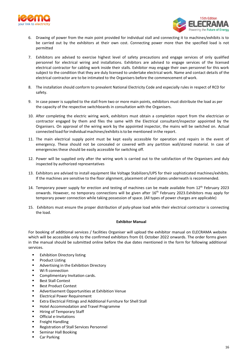



- 6. Drawing of power from the main point provided for individual stall and connecting it to machines/exhibits is to be carried out by the exhibitors at their own cost. Connecting power more than the specified load is not permitted
- 7. Exhibitors are advised to exercise highest level of safety precautions and engage services of only qualified personnel for electrical wiring and installations. Exhibitors are advised to engage services of the licensed electrical contractor for cabling work inside their stalls. Exhibitor may engage their own personnel for this work subject to the condition that they are duly licensed to undertake electrical work. Name and contact details of the electrical contractor are to be intimated to the Organisers before the commencement of work.
- 8. The installation should conform to prevalent National Electricity Code and especially rules in respect of RCD for safety.
- 9. In case power is supplied to the stall from two or more main points, exhibitors must distribute the load as per the capacity of the respective switchboards in consultation with the Organisers.
- 10. After completing the electric wiring work, exhibitors must obtain a completion report from the electrician or contractor engaged by them and files the same with the Electrical consultant/inspector appointed by the Organisers. On approval of the wiring work by the appointed inspector, the mains will be switched on. Actual connected load for individual machines/exhibits is to be mentioned in the report.
- 11. The main electrical supply point must be kept easily accessible for operation and repairs in the event of emergency. These should not be concealed or covered with any partition wall/stored material. In case of emergencies these should be easily accessible for switching off.
- 12. Power will be supplied only after the wiring work is carried out to the satisfaction of the Organisers and duly inspected by authorized representatives
- 13. Exhibitors are advised to install equipment like Voltage Stabilizers/UPS for their sophisticated machines/exhibits. If the machines are sensitive to the floor alignment, placement of steel plates underneath is recommended.
- 14. Temporary power supply for erection and testing of machines can be made available from 12<sup>th</sup> February 2023 onwards. However, no temporary connections will be given after 16<sup>th</sup> February 2023.Exhibitors may apply for temporary power connection while taking possession of space. (All types of power charges are applicable)
- 15. Exhibitors must ensure the proper distribution of poly-phase load while their electrical contractor is connecting the load.

#### **Exhibitor Manual**

For booking of additional services / facilities Organiser will upload the exhibitor manual on ELECRAMA website which will be accessible only to the confirmed exhibitors from 01 October 2022 onwards. The order forms given in the manual should be submitted online before the due dates mentioned in the form for following additional services.

- Exhibition Directory listing
- **Product Listing**
- **Advertising in the Exhibition Directory**
- Wi fi connection
- Complimentary Invitation cards.
- Best Stall Contest
- Best Product Contest
- Advertisement Opportunities at Exhibition Venue
- **Electrical Power Requirement**
- Extra Electrical Fittings and Additional Furniture for Shell Stall
- Hotel Accommodation and Travel Programme
- Hiring of Temporary Staff
- Official e-Invitations
- Freight Handling
- Registration of Stall Services Personnel
- Seminar Hall Booking
- Car Parking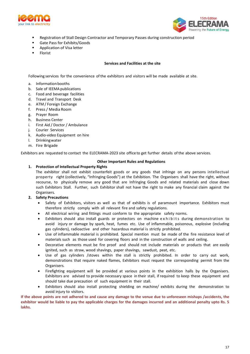



- Registration of Stall Design Contractor and Temporary Passes during construction period
- Gate Pass for Exhibits/Goods
- Application of Visa letter
- Florist

#### **Services and Facilities at the site**

Following services for the convenience ofthe exhibitors and visitors will be made available at site.

- a. Information booths
- b. Sale of IEEMA publications
- c. Food and beverage facilities
- d. Travel and Transport Desk
- e. ATM / Foreign Exchange
- f. Press/ Media Room
- g. Prayer Room
- h. Business Center
- i. First Aid / Doctor / Ambulance
- j. Courier Services
- k. Audio-video Equipment on hire
- l. Drinkingwater
- m. Fire Brigade

Exhibitors are requested to contact the ELECRAMA-2023 site office to get further details of the above services.

#### **Other Important Rules and Regulations**

#### **1. Protection of Intellectual Property Rights**

The exhibitor shall not exhibit counterfeit goods or any goods that infringe on any persons intellectual property right (collectively, "Infringing Goods") at the Exhibition. The Organisers shall have the right, without recourse, to physically remove any good that are Infringing Goods and related materials and close down such Exhibitors Stall. Further, such Exhibitor shall not have the right to make any financial claim against the Organisers.

- **2. Safety Precautions**
	- Safety of Exhibitors, visitors as well as that of exhibits is of paramount importance. Exhibitors must therefore strictly comply with all relevant fire and safety regulations.
	- All electrical wiring and fittings must conform to the appropriate safety norms.
	- Exhibitors should also install guards or protectors on machine exhibits during demonstration to avoid injury or damage by spark, heat, fumes etc. Use of inflammable, poisonous, explosive (including gas cylinders), radioactive and other hazardous material is strictly prohibited.
	- Use of inflammable material is prohibited. Special mention must be made of the fire resistance level of materials such as those used for covering floors and in the construction of walls and ceiling.
	- Decorative elements must be fire proof and should not include materials or products that are easily ignited, such as straw, wood shavings, paper shavings, sawdust, peat, etc.
	- Use of gas cylinders /stoves within the stall is strictly prohibited. In order to carry out work, demonstrations that require naked flames, Exhibitors must request the corresponding permit from the Organisers.
	- Firefighting equipment will be provided at various points in the exhibition halls by the Organisers. Exhibitors are advised to provide necessary space in their stall, if required to keep these equipment and should take due precaution of such equipment in their stall.
	- Exhibitors should also install protecting shielding on machine/ exhibits during the demonstration to avoid injury to visitors.

**If the above points are not adhered to and cause any damage to the venue due to unforeseen mishaps /accidents, the exhibitor would be liable to pay the applicable charges for the damages incurred and an additional penalty upto Rs. 5 lakhs.**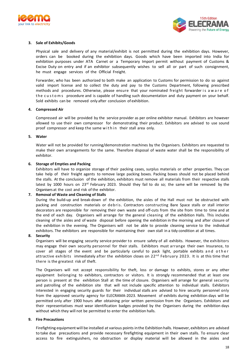



#### **3. Sale of Exhibits/Goods**

Physical sale and delivery of any material/exhibit is not permitted during the exhibition days. However, orders can be booked during the exhibition days. Goods which have been imported into India for exhibition purposes under ATA Carnet or a Temporary Import permit without payment of Customs & Excise Duty on entry and if an exhibitor subsequently wishes to sell all or part of such consignment, he must engage services of the Official Freight.

Forwarder, who has been authorized to both make an application to Customs for permission to do so against valid import license and to collect the duty and pay to the Customs Department, following prescribed methods and procedures. Otherwise, please ensure that your nominated freight forwarder is a w a r e of the customs procedure and is capable of handling such documentation and duty payment on your behalf. Sold exhibits can be removed only after conclusion of exhibition.

#### **4. Compressed Air**

Compressed air will be provided by the service provider as per online exhibitor manual. Exhibitors are however allowed to use their own compressor for demonstrating their product. Exhibitors are advised to use sound proof compressor and keep the same within their stall area only.

#### **5. Water**

Water will not be provided for running/demonstration machines by the Organisers. Exhibitors are requested to make their own arrangements for the same. Therefore disposal of waste water shall be the responsibility of exhibitor.

#### **6. Storage of Empties and Packing**

Exhibitors will have to organize storage of their packing cases, surplus materials or other properties. They can take help of their freight agents to remove large packing boxes. Packing boxes should not be placed behind the stalls. At the conclusion of the exhibition, exhibitors must remove all materials from their respective stalls latest by 1000 hours on  $23<sup>rd</sup>$  February 2023. Should they fail to do so; the same will be removed by the Organisers at the cost and risk of the exhibitor.

#### **7. Removal of Waste and Cleaning of Stalls**

During the build-up and break-down of the exhibition, the aisles of the Hall must not be obstructed with packing and construction materials or debris. Contractors constructing Bare Space stalls or stall interior decorators are responsible for removing their own waste and off-cuts from the site from time to time and at the end of each day. Organisers will arrange for the general cleaning of the exhibition Halls. This includes cleaning of the aisles and of waste disposal before opening the exhibition in the morning and after closure of the exhibition in the evening. The Organisers will not be able to provide cleaning service to the individual exhibitors. The exhibitors are responsible for maintaining their own stall in a tidy condition at all times.

#### **8. Security**

Organisers will be engaging security service provider to ensure safety of all exhibits. However, the exhibitors may engage their own security personnel for their stalls. Exhibitors must arrange their own Insurance, to cover all stages of the event and be particularly careful to pack light, portable exhibits and other attractive exhibits immediately after the exhibition closes on  $22^{nd}$  February 2023. It is at this time that there is the greatest risk of theft.

The Organisers will not accept responsibility for theft, loss or damage to exhibits, stores or any other equipment belonging to exhibitors, contractors or visitors. It is strongly recommended that at least one person is present at the exhibition Stall at the time of closure. Organisers will arrange for general security and patrolling of the exhibition site that will not include specific attention to individual stalls. Exhibitors interested in engaging security guards for their individual stalls are advised to hire security personnel only from the approved security agency for ELECRAMA-2023. Movement of exhibits during exhibition days will be permitted only after 1900 hours after obtaining prior written permission from the Organisers. Exhibitors and their representatives must wear identification badges provided by the Organisers during the exhibition days without which they will not be permitted to enter the exhibition halls.

#### **9. Fire Precautions**

Firefighting equipment will be installed at various points in the Exhibition halls. However, exhibitors are advised to take due precautions and provide necessary firefighting equipment in their own stalls. To ensure clear access to fire extinguishers, no obstruction or display material will be allowed in the aisles and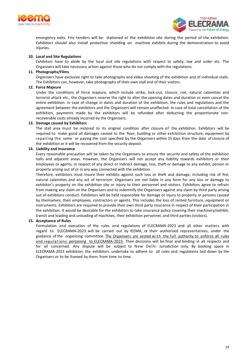



emergency exits. Fire tenders will be stationed at the exhibition site during the period of the exhibition. Exhibitors should also install protective shielding on machine exhibits during the demonstration to avoid injuries.

#### **10. Local and Site Regulations**

Exhibitors have to abide by the local and site regulations with respect to safety, law and order etc. The Organisers will take necessary action against those who do not comply with the regulations.

#### **11. Photographs/Films**

Organisers have exclusive right to take photographs and video shooting of the exhibition and of individual stalls. The Exhibitors can, however, take photographs of their own stall and of their visitors.

#### **12. Force Majeure**

Under the conditions of force majeure, which include strike, lock-out, closure, riot, natural calamities and terrorist attack etc., the Organisers reserve the right to alter the opening dates and duration or even cancel the entire exhibition. In case of change in dates and duration of the exhibition, the rules and regulations and the agreement between the exhibitors and the Organisers will remain unaffected. In case of total cancellation of the exhibition, payments made by the exhibitors will be refunded after deducting the proportionate nonrecoverable costs already incurred by the Organisers.

#### **13. Damage caused by Exhibitors**

The stall area must be restored to its original condition after closure of the exhibition. Exhibitors will be required to make good all damages caused to the floor, building or other exhibition structure, equipment by repairing the same or paying the cost specified by the Organisers within 15 days from the date of closure of the exhibition or it will be recovered from the security deposit.

#### **14. Liability and Insurance**

Every reasonable precaution will be taken by the Organisers to ensure the security and safety of the exhibition halls and adjacent areas. However, the Organisers will not accept any liability towards exhibitors or their employees or agents, in respect of any direct or indirect damage, loss, theft or damage to any exhibit, person or property arising out of or in any way connected with the exhibition.

Therefore, exhibitors must insure their exhibits against such loss or theft and damage, including risk of fire, natural calamities and any act of terrorism. Organisers are not liable in any form for any loss or damage to exhibitor's property on the exhibition site or injury to their personnel and visitors. Exhibitors agree to refrain from making any claim on the Organisers and to indemnify the Organisers against any claim by third party arising out of exhibitors conduct. Exhibitors will be held responsible for damage or injury to property or persons caused by themselves, their employees, contractors or agents. This includes the loss of rented furniture, equipment or instruments. Exhibitors are required to provide their own third party insurance in respect of their participation in the exhibition. It would be desirable for the exhibitors to take insurance policy covering their machinery/exhibit, transit and loading and unloading of machines, their exhibition personnel, and third parties (visitors).

#### **15. Acceptance of Rules**

Formulation and execution of the rules and regulations of ELECRAMA-2023 and all other matters with regard to ELECRAMA-2023 will be carried out by IEEMA, or their authorized representatives, under the guidance of the organizing committee. The Organisers are vested with the full authority to enforce all rules and regulations pertaining to ELECRAMA-2023. Their decisions will be final and binding in all respects and for all concerned. Any dispute will be subject to New Delhi Jurisdiction only. By booking space in ELECRAMA-2023 exhibition, the exhibitors undertake to adhere to all rules and regulations laid down by the Organisers or to be framed by them from time to time.